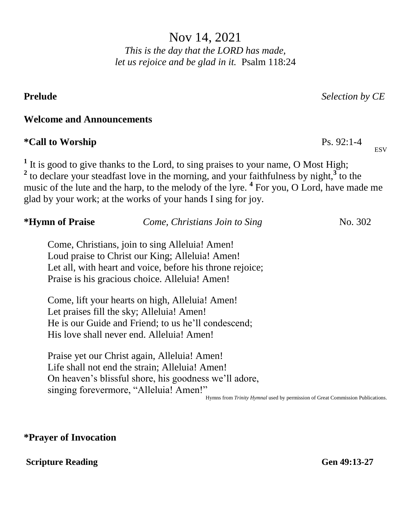Nov 14, 2021

*This is the day that the LORD has made, let us rejoice and be glad in it.* Psalm 118:24

<sup>1</sup> It is good to give thanks to the Lord, to sing praises to your name, O Most High; <sup>2</sup> to declare your steadfast love in the morning, and your faithfulness by night,<sup>3</sup> to the music of the lute and the harp, to the melody of the lyre. **<sup>4</sup>** For you, O Lord, have made me glad by your work; at the works of your hands I sing for joy.

| *Hymn of Praise | Come, Christians Join to Sing                             | No. 302 |  |
|-----------------|-----------------------------------------------------------|---------|--|
|                 | Come, Christians, join to sing Alleluia! Amen!            |         |  |
|                 | Loud praise to Christ our King; Alleluia! Amen!           |         |  |
|                 | Let all, with heart and voice, before his throne rejoice; |         |  |
|                 | Praise is his gracious choice. Alleluia! Amen!            |         |  |
|                 | Come, lift your hearts on high, Alleluia! Amen!           |         |  |
|                 | Let praises fill the sky; Alleluia! Amen!                 |         |  |
|                 | He is our Guide and Friend; to us he'll condescend;       |         |  |
|                 | His love shall never end. Alleluia! Amen!                 |         |  |
|                 | Praise yet our Christ again, Alleluia! Amen!              |         |  |
|                 | Life shall not end the strain; Alleluia! Amen!            |         |  |
|                 | On heaven's blissful shore, his goodness we'll adore,     |         |  |
|                 | singing forevermore, "Alleluia! Amen!"                    |         |  |

Hymns from *Trinity Hymnal* used by permission of Great Commission Publications.

## **\*Prayer of Invocation**

**Welcome and Announcements**

 $*$ Call to Worship

#### **Scripture Reading Gen 49:13-27**

## **Prelude** *Selection by CE*

 $Ps. 92:1-4$ 

**ESV**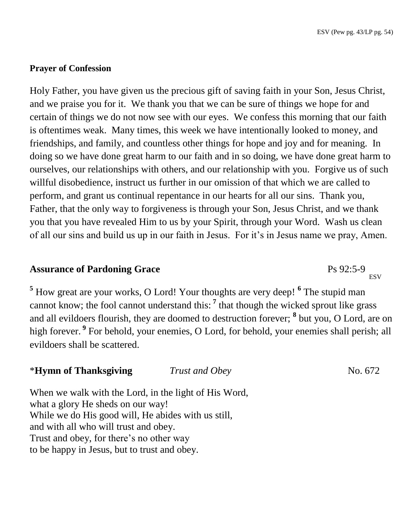$\frac{1}{2}$ Ps 92:5-9

#### **Prayer of Confession**

Holy Father, you have given us the precious gift of saving faith in your Son, Jesus Christ, and we praise you for it. We thank you that we can be sure of things we hope for and certain of things we do not now see with our eyes. We confess this morning that our faith is oftentimes weak. Many times, this week we have intentionally looked to money, and friendships, and family, and countless other things for hope and joy and for meaning. In doing so we have done great harm to our faith and in so doing, we have done great harm to ourselves, our relationships with others, and our relationship with you. Forgive us of such willful disobedience, instruct us further in our omission of that which we are called to perform, and grant us continual repentance in our hearts for all our sins. Thank you, Father, that the only way to forgiveness is through your Son, Jesus Christ, and we thank you that you have revealed Him to us by your Spirit, through your Word. Wash us clean of all our sins and build us up in our faith in Jesus. For it's in Jesus name we pray, Amen.

## **Assurance of Pardoning Grace**

<sup>5</sup> How great are your works, O Lord! Your thoughts are very deep! <sup>6</sup> The stupid man cannot know; the fool cannot understand this: **<sup>7</sup>** that though the wicked sprout like grass and all evildoers flourish, they are doomed to destruction forever; **<sup>8</sup>** but you, O Lord, are on high forever. **<sup>9</sup>** For behold, your enemies, O Lord, for behold, your enemies shall perish; all evildoers shall be scattered.

| *Hymn of Thanksgiving                                 | Trust and Obey | No. 672 |
|-------------------------------------------------------|----------------|---------|
| When we walk with the Lord, in the light of His Word, |                |         |
| what a glory He sheds on our way!                     |                |         |
| While we do His good will, He abides with us still,   |                |         |
| and with all who will trust and obey.                 |                |         |
| Trust and obey, for there's no other way              |                |         |
| to be happy in Jesus, but to trust and obey.          |                |         |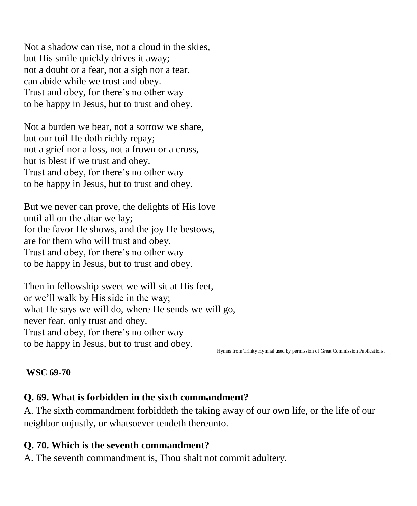Not a shadow can rise, not a cloud in the skies, but His smile quickly drives it away; not a doubt or a fear, not a sigh nor a tear, can abide while we trust and obey. Trust and obey, for there's no other way to be happy in Jesus, but to trust and obey.

Not a burden we bear, not a sorrow we share, but our toil He doth richly repay; not a grief nor a loss, not a frown or a cross, but is blest if we trust and obey. Trust and obey, for there's no other way to be happy in Jesus, but to trust and obey.

But we never can prove, the delights of His love until all on the altar we lay; for the favor He shows, and the joy He bestows, are for them who will trust and obey. Trust and obey, for there's no other way to be happy in Jesus, but to trust and obey.

Then in fellowship sweet we will sit at His feet, or we'll walk by His side in the way; what He says we will do, where He sends we will go, never fear, only trust and obey. Trust and obey, for there's no other way to be happy in Jesus, but to trust and obey.

Hymns from Trinity Hymnal used by permission of Great Commission Publications.

#### **WSC 69-70**

# **Q. 69. What is forbidden in the sixth commandment?**

A. The sixth commandment forbiddeth the taking away of our own life, or the life of our neighbor unjustly, or whatsoever tendeth thereunto.

## **Q. 70. Which is the seventh commandment?**

A. The seventh commandment is, Thou shalt not commit adultery.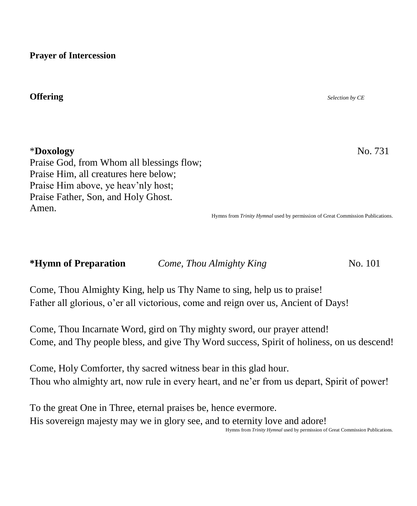**Prayer of Intercession**

### **Offering** *Selection by CE*

\***Doxology** No. 731 Praise God, from Whom all blessings flow; Praise Him, all creatures here below; Praise Him above, ye heav'nly host; Praise Father, Son, and Holy Ghost. Amen.

Hymns from *Trinity Hymnal* used by permission of Great Commission Publications.

**\*Hymn of Preparation** *Come, Thou Almighty King* **No. 101** 

Come, Thou Almighty King, help us Thy Name to sing, help us to praise! Father all glorious, o'er all victorious, come and reign over us, Ancient of Days!

Come, Thou Incarnate Word, gird on Thy mighty sword, our prayer attend! Come, and Thy people bless, and give Thy Word success, Spirit of holiness, on us descend!

Come, Holy Comforter, thy sacred witness bear in this glad hour. Thou who almighty art, now rule in every heart, and ne'er from us depart, Spirit of power!

To the great One in Three, eternal praises be, hence evermore. His sovereign majesty may we in glory see, and to eternity love and adore! Hymns from *Trinity Hymnal* used by permission of Great Commission Publications.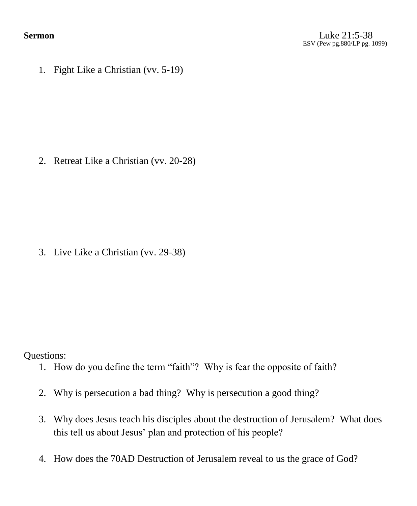1. Fight Like a Christian (vv. 5-19)

2. Retreat Like a Christian (vv. 20-28)

3. Live Like a Christian (vv. 29-38)

Questions:

- 1. How do you define the term "faith"? Why is fear the opposite of faith?
- 2. Why is persecution a bad thing? Why is persecution a good thing?
- 3. Why does Jesus teach his disciples about the destruction of Jerusalem? What does this tell us about Jesus' plan and protection of his people?
- 4. How does the 70AD Destruction of Jerusalem reveal to us the grace of God?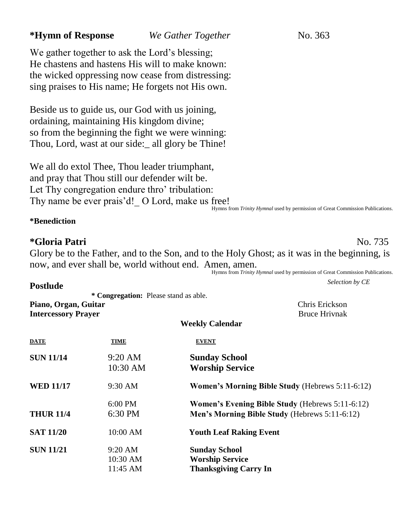## **\*Hymn of Response** *We Gather Together* No. 363

We gather together to ask the Lord's blessing; He chastens and hastens His will to make known: the wicked oppressing now cease from distressing: sing praises to His name; He forgets not His own.

Beside us to guide us, our God with us joining, ordaining, maintaining His kingdom divine; so from the beginning the fight we were winning: Thou, Lord, wast at our side: all glory be Thine!

We all do extol Thee, Thou leader triumphant, and pray that Thou still our defender wilt be. Let Thy congregation endure thro' tribulation: Thy name be ever prais'd! O Lord, make us free! Hymns from *Trinity Hymnal* used by permission of Great Commission Publications.

#### **\*Benediction**

**Postlude** 

#### **\*Gloria Patri** No. 735

Glory be to the Father, and to the Son, and to the Holy Ghost; as it was in the beginning, is now, and ever shall be, world without end. Amen, amen.

Hymns from *Trinity Hymnal* used by permission of Great Commission Publications.

*Selection by CE*

 **\* Congregation:** Please stand as able. **Piano, Organ, Guitar** Chris Erickson **Intercessory Prayer** Bruce Hrivnak

#### **Weekly Calendar**

| <b>DATE</b>      | TIME                  | <b>EVENT</b>                                           |
|------------------|-----------------------|--------------------------------------------------------|
| <b>SUN 11/14</b> | $9:20$ AM<br>10:30 AM | <b>Sunday School</b><br><b>Worship Service</b>         |
| <b>WED 11/17</b> | $9:30$ AM             | <b>Women's Morning Bible Study (Hebrews 5:11-6:12)</b> |
|                  | $6:00 \text{ PM}$     | Women's Evening Bible Study (Hebrews 5:11-6:12)        |
| <b>THUR 11/4</b> | $6:30$ PM             | Men's Morning Bible Study (Hebrews 5:11-6:12)          |
| <b>SAT 11/20</b> | 10:00 AM              | <b>Youth Leaf Raking Event</b>                         |
| <b>SUN 11/21</b> | $9:20$ AM             | <b>Sunday School</b>                                   |
|                  | $10:30$ AM            | <b>Worship Service</b>                                 |
|                  | $11:45$ AM            | <b>Thanksgiving Carry In</b>                           |